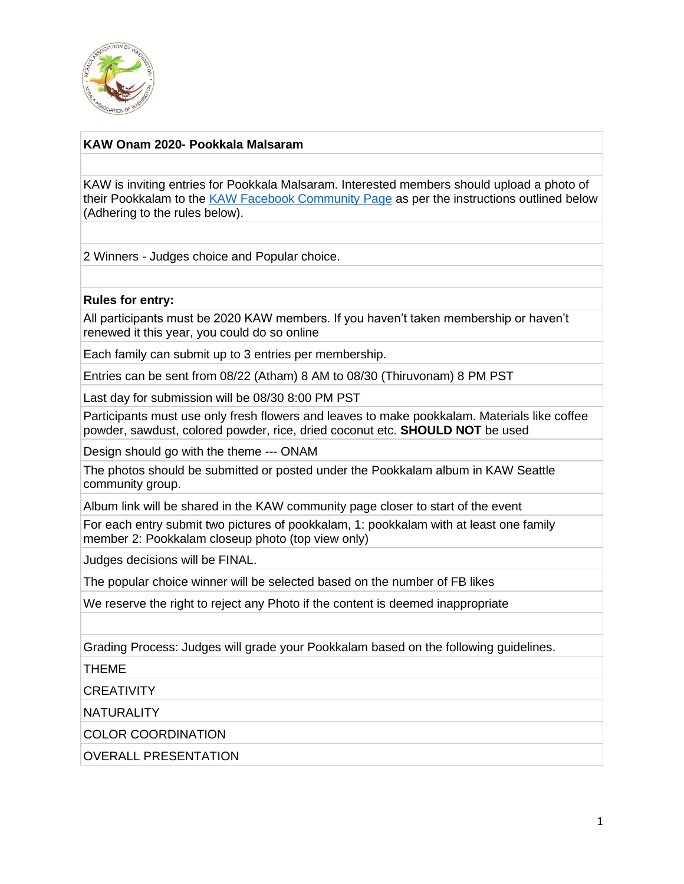

## **KAW Onam 2020- Pookkala Malsaram**

KAW is inviting entries for Pookkala Malsaram. Interested members should upload a photo of their Pookkalam to the [KAW Facebook Community Page](https://www.facebook.com/groups/202659451005135/) as per the instructions outlined below (Adhering to the rules below).

2 Winners - Judges choice and Popular choice.

## **Rules for entry:**

All participants must be 2020 KAW members. If you haven't taken membership or haven't renewed it this year, you could do so online

Each family can submit up to 3 entries per membership.

Entries can be sent from 08/22 (Atham) 8 AM to 08/30 (Thiruvonam) 8 PM PST

Last day for submission will be 08/30 8:00 PM PST

Participants must use only fresh flowers and leaves to make pookkalam. Materials like coffee powder, sawdust, colored powder, rice, dried coconut etc. **SHOULD NOT** be used

Design should go with the theme --- ONAM

The photos should be submitted or posted under the Pookkalam album in KAW Seattle community group.

Album link will be shared in the KAW community page closer to start of the event

For each entry submit two pictures of pookkalam, 1: pookkalam with at least one family member 2: Pookkalam closeup photo (top view only)

Judges decisions will be FINAL.

The popular choice winner will be selected based on the number of FB likes

We reserve the right to reject any Photo if the content is deemed inappropriate

Grading Process: Judges will grade your Pookkalam based on the following guidelines.

THEME

**CREATIVITY** 

**NATURALITY** 

COLOR COORDINATION

OVERALL PRESENTATION